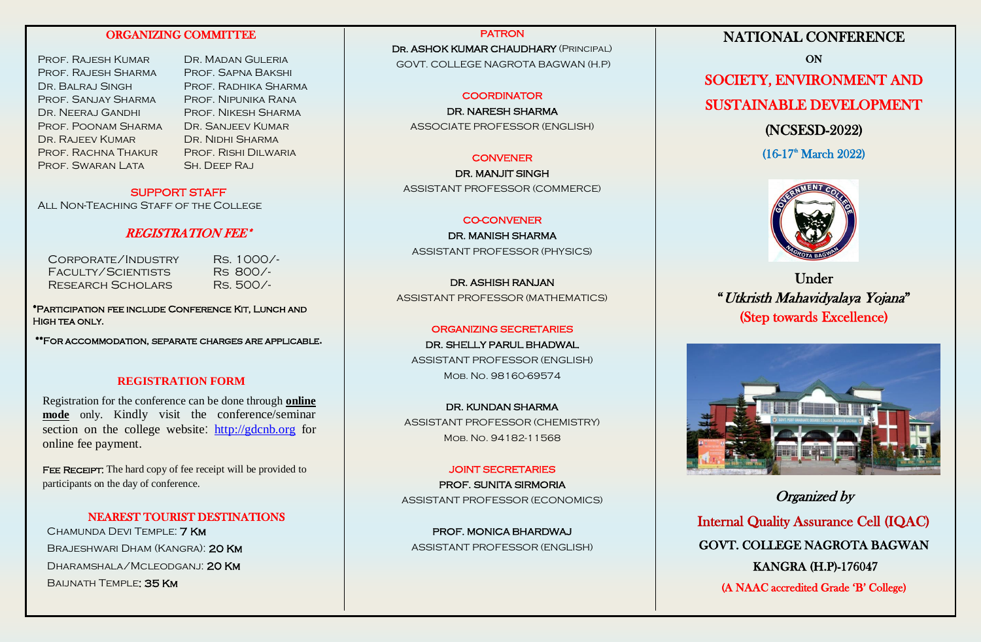## ORGANIZING COMMITTEE

Prof. Rajesh Kumar Dr. Madan Guleria Prof. Rajesh Sharma Prof. Sapna Bakshi Dr. Balraj Singh Prof. Radhika Sharma Prof. Sanjay Sharma Prof. Nipunika Rana DR. NEERAJ GANDHI PROF. NIKESH SHARMA Prof. Poonam Sharma Dr. Sanjeev Kumar DR. RAJEEV KUMAR DR. NIDHI SHARMA Prof. Rachna Thakur Prof. Rishi Dilwaria PROF. SWARAN LATA SH. DEEP RAJ

## SUPPORT STAFF

ALL NON-TEACHING STAFF OF THE COLLEGE

## REGISTRATION FEE\*

Corporate/Industry Rs. 1000/- Faculty/Scientists Rs 800/- RESEARCH SCHOLARS RS. 500/-

\*Participation fee include Conference Kit, Lunch and High tea only.

\*\*For accommodation, separate charges are applicable**.**

### **REGISTRATION FORM**

Registration for the conference can be done through **online mode** only. Kindly visit the conference/seminar section on the college website: [http://gdcnb.org](http://gdcnb.org/) for online fee payment.

FEE RECEIPT: The hard copy of fee receipt will be provided to participants on the day of conference.

NEAREST TOURIST DESTINATIONS Chamunda Devi Temple: 7 Km Brajeshwari Dham (Kangra): 20 Km Dharamshala/Mcleodganj: 20 Km BALINATH TEMPLE: 35 KM

PATRON DR. ASHOK KUMAR CHAUDHARY (PRINCIPAL) GOVT. COLLEGE NAGROTA BAGWAN (H.P)

### **COORDINATOR**

DR. NARESH SHARMA ASSOCIATE PROFESSOR (ENGLISH)

#### **CONVENER**

DR. MANJIT SINGH ASSISTANT PROFESSOR (COMMERCE)

#### CO-CONVENER

DR. MANISH SHARMA ASSISTANT PROFESSOR (PHYSICS)

DR. ASHISH RANJAN ASSISTANT PROFESSOR (MATHEMATICS)

#### ORGANIZING SECRETARIES

DR. SHELLY PARUL BHADWAL ASSISTANT PROFESSOR (ENGLISH) Mob. No. 98160-69574

DR. KUNDAN SHARMA ASSISTANT PROFESSOR (CHEMISTRY) Mob. No. 94182-11568

### JOINT SECRETARIES

PROF. SUNITA SIRMORIA ASSISTANT PROFESSOR (ECONOMICS)

PROF. MONICA BHARDWAJ ASSISTANT PROFESSOR (ENGLISH)

# NATIONAL CONFERENCE

ON SOCIETY, ENVIRONMENT AND SUSTAINABLE DEVELOPMENT (NCSESD-2022)

 $(16-17<sup>th</sup> March 2022)$ 

Under "Utkristh Mahavidyalaya Yojana" (Step towards Excellence)



Organized by

Internal Quality Assurance Cell (IQAC) GOVT. COLLEGE NAGROTA BAGWAN KANGRA (H.P)-176047 (A NAAC accredited Grade 'B' College)